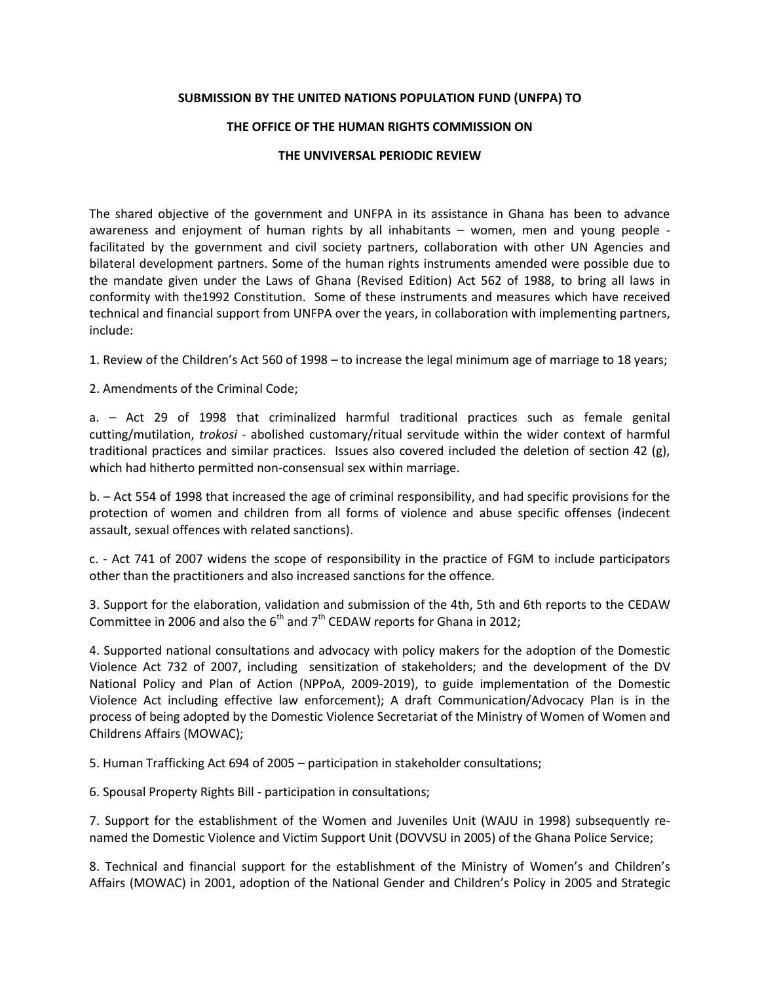## **SUBMISSION BY THE UNITED NATIONS POPULATION FUND (UNFPA) TO**

## **THE OFFICE OF THE HUMAN RIGHTS COMMISSION ON**

## **THE UNVIVERSAL PERIODIC REVIEW**

The shared objective of the government and UNFPA in its assistance in Ghana has been to advance awareness and enjoyment of human rights by all inhabitants – women, men and young people facilitated by the government and civil society partners, collaboration with other UN Agencies and bilateral development partners. Some of the human rights instruments amended were possible due to the mandate given under the Laws of Ghana (Revised Edition) Act 562 of 1988, to bring all laws in conformity with the1992 Constitution. Some of these instruments and measures which have received technical and financial support from UNFPA over the years, in collaboration with implementing partners, include:

1. Review of the Children's Act 560 of 1998 – to increase the legal minimum age of marriage to 18 years;

2. Amendments of the Criminal Code;

a. – Act 29 of 1998 that criminalized harmful traditional practices such as female genital cutting/mutilation, *trokosi* - abolished customary/ritual servitude within the wider context of harmful traditional practices and similar practices. Issues also covered included the deletion of section 42 (g), which had hitherto permitted non-consensual sex within marriage.

b. – Act 554 of 1998 that increased the age of criminal responsibility, and had specific provisions for the protection of women and children from all forms of violence and abuse specific offenses (indecent assault, sexual offences with related sanctions).

c. - Act 741 of 2007 widens the scope of responsibility in the practice of FGM to include participators other than the practitioners and also increased sanctions for the offence.

3. Support for the elaboration, validation and submission of the 4th, 5th and 6th reports to the CEDAW Committee in 2006 and also the  $6<sup>th</sup>$  and  $7<sup>th</sup>$  CEDAW reports for Ghana in 2012;

4. Supported national consultations and advocacy with policy makers for the adoption of the Domestic Violence Act 732 of 2007, including sensitization of stakeholders; and the development of the DV National Policy and Plan of Action (NPPoA, 2009-2019), to guide implementation of the Domestic Violence Act including effective law enforcement); A draft Communication/Advocacy Plan is in the process of being adopted by the Domestic Violence Secretariat of the Ministry of Women of Women and Childrens Affairs (MOWAC);

5. Human Trafficking Act 694 of 2005 – participation in stakeholder consultations;

6. Spousal Property Rights Bill - participation in consultations;

7. Support for the establishment of the Women and Juveniles Unit (WAJU in 1998) subsequently renamed the Domestic Violence and Victim Support Unit (DOVVSU in 2005) of the Ghana Police Service;

8. Technical and financial support for the establishment of the Ministry of Women's and Children's Affairs (MOWAC) in 2001, adoption of the National Gender and Children's Policy in 2005 and Strategic